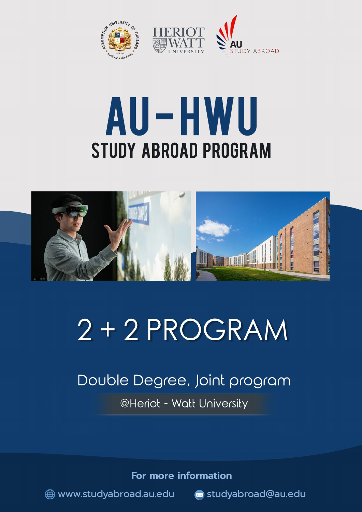

# AU-HWU **STUDY ABROAD PROGRAM**



## $2 + 2$  PROGRAM

## Double Degree, Joint program **@Heriot - Watt University**

For more information

www.studyabroad.au.edu a studyabroad@au.edu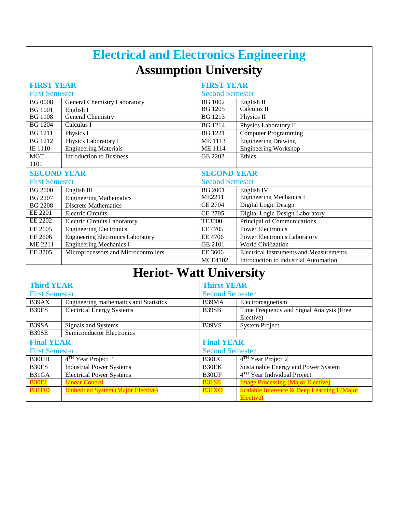| <b>Electrical and Electronics Engineering</b> |                                           |                        |                                                |  |  |  |
|-----------------------------------------------|-------------------------------------------|------------------------|------------------------------------------------|--|--|--|
| <b>Assumption University</b>                  |                                           |                        |                                                |  |  |  |
| <b>FIRST YEAR</b>                             |                                           |                        | <b>FIRST YEAR</b>                              |  |  |  |
| <b>First Semester</b>                         |                                           | <b>Second Semester</b> |                                                |  |  |  |
| <b>BG 0008</b>                                | General Chemistry Laboratory              | <b>BG</b> 1002         | English II                                     |  |  |  |
| <b>BG</b> 1001                                | English I                                 | <b>BG</b> 1205         | Calculus II                                    |  |  |  |
| <b>BG</b> 1108                                | <b>General Chemistry</b>                  | <b>BG</b> 1213         | Physics II                                     |  |  |  |
| <b>BG</b> 1204                                | Calculus I                                | <b>BG</b> 1214         | Physics Laboratory II                          |  |  |  |
| <b>BG</b> 1211                                | Physics I                                 | <b>BG</b> 1221         | <b>Computer Programming</b>                    |  |  |  |
| <b>BG</b> 1212                                | Physics Laboratory I                      | <b>ME 1113</b>         | <b>Engineering Drawing</b>                     |  |  |  |
| IE 1110                                       | <b>Engineering Materials</b>              | <b>ME</b> 1114         | <b>Engineering Workshop</b>                    |  |  |  |
| <b>MGT</b>                                    | <b>Introduction to Business</b>           | <b>GE 2202</b>         | Ethics                                         |  |  |  |
| 1101                                          |                                           |                        |                                                |  |  |  |
| <b>SECOND YEAR</b>                            |                                           | <b>SECOND YEAR</b>     |                                                |  |  |  |
| <b>First Semester</b>                         |                                           | <b>Second Semester</b> |                                                |  |  |  |
| <b>BG 2000</b>                                | English III                               | <b>BG 2001</b>         | English <sub>IV</sub>                          |  |  |  |
| <b>BG 2207</b>                                | <b>Engineering Mathematics</b>            | <b>ME2211</b>          | <b>Engineering Mechanics I</b>                 |  |  |  |
| <b>BG 2208</b>                                | <b>Discrete Mathematics</b>               | <b>CE 2704</b>         | Digital Logic Design                           |  |  |  |
| EE 2201                                       | <b>Electric Circuits</b>                  | <b>CE 2705</b>         | Digital Logic Design Laboratory                |  |  |  |
| <b>EE 2202</b>                                | <b>Electric Circuits Laboratory</b>       | <b>TE3000</b>          | Principal of Communications                    |  |  |  |
| EE 2605                                       | <b>Engineering Electronics</b>            | <b>EE 4705</b>         | <b>Power Electronics</b>                       |  |  |  |
| EE 2606                                       | <b>Engineering Electronics Laboratory</b> | <b>EE 4706</b>         | Power Electronics Laboratory                   |  |  |  |
| ME 2211                                       | <b>Engineering Mechanics I</b>            | <b>GE 2101</b>         | <b>World Civilization</b>                      |  |  |  |
| EE 3705                                       | Microprocessors and Microcontrollers      | EE 3606                | <b>Electrical Instruments and Measurements</b> |  |  |  |
|                                               |                                           | <b>MCE4102</b>         | Introduction to industrial Automation          |  |  |  |
| <b>Heriot-Watt University</b>                 |                                           |                        |                                                |  |  |  |
| <b>Third YEAR</b>                             |                                           |                        | <b>Thirst YEAR</b>                             |  |  |  |
| <b>First Semester</b>                         |                                           | <b>Second Semester</b> |                                                |  |  |  |
| B39AX                                         | Engineering mathematics and Statistics    | B39MA                  | Electromagnetism                               |  |  |  |
| B39ES                                         | <b>Electrical Energy Systems</b>          | B39SB                  | Time Frequency and Signal Analysis (Free       |  |  |  |
|                                               |                                           |                        | Elective)                                      |  |  |  |
| B39SA                                         | Signals and Systems                       | B39VS                  | <b>System Project</b>                          |  |  |  |
| B39SE                                         | Semiconductor Electronics                 |                        |                                                |  |  |  |
| <b>Final YEAR</b>                             |                                           |                        | <b>Final YEAR</b>                              |  |  |  |
| <b>First Semester</b>                         |                                           | <b>Second Semester</b> |                                                |  |  |  |
| B30UB                                         | $4TH$ Year Project 1                      | B30UC                  | $4TH$ Year Project 2                           |  |  |  |
| B30ES                                         | <b>Industrial Power Systems</b>           | B30EK                  | Sustainable Energy and Power System            |  |  |  |
| B31GA                                         | <b>Electrical Power Systems</b>           | B30UF                  | 4 <sup>TH</sup> Year Individual Project        |  |  |  |
| <b>B30EJ</b>                                  | <b>Linear Control</b>                     | B31SE                  | <b>Image Processing (Major Elective)</b>       |  |  |  |
| B31DD                                         | <b>Embedded System (Major Elective)</b>   | B31XO                  | Scalable Inference & Deep Learning I (Major    |  |  |  |
|                                               |                                           |                        | Elective)                                      |  |  |  |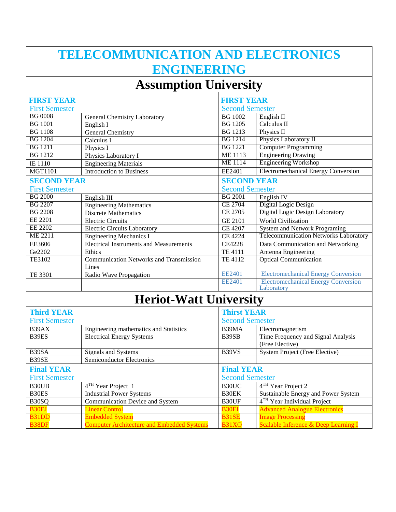## **TELECOMMUNICATION AND ELECTRONICS ENGINEERING**

### **Assumption University**

| <b>FIRST YEAR</b>     |                                                         | <b>FIRST YEAR</b> |                                                          |  |
|-----------------------|---------------------------------------------------------|-------------------|----------------------------------------------------------|--|
| <b>First Semester</b> |                                                         |                   | <b>Second Semester</b>                                   |  |
| BG 0008               | General Chemistry Laboratory                            | <b>BG</b> 1002    | English II                                               |  |
| <b>BG</b> 1001        | English I                                               | <b>BG</b> 1205    | Calculus II                                              |  |
| <b>BG</b> 1108        | <b>General Chemistry</b>                                | <b>BG</b> 1213    | Physics II                                               |  |
| <b>BG</b> 1204        | Calculus I                                              | <b>BG</b> 1214    | Physics Laboratory II                                    |  |
| <b>BG</b> 1211        | Physics I                                               | <b>BG</b> 1221    | <b>Computer Programming</b>                              |  |
| <b>BG</b> 1212        | Physics Laboratory I                                    | <b>ME</b> 1113    | <b>Engineering Drawing</b>                               |  |
| IE 1110               | <b>Engineering Materials</b>                            | <b>ME1114</b>     | <b>Engineering Workshop</b>                              |  |
| <b>MGT1101</b>        | <b>Introduction to Business</b>                         | EE2401            | <b>Electromechanical Energy Conversion</b>               |  |
| <b>SECOND YEAR</b>    |                                                         |                   | <b>SECOND YEAR</b>                                       |  |
| <b>First Semester</b> |                                                         |                   | <b>Second Semester</b>                                   |  |
| <b>BG 2000</b>        | English III                                             | <b>BG 2001</b>    | English <sub>IV</sub>                                    |  |
| <b>BG 2207</b>        | <b>Engineering Mathematics</b>                          | <b>CE 2704</b>    | Digital Logic Design                                     |  |
| <b>BG 2208</b>        | <b>Discrete Mathematics</b>                             | CE 2705           | Digital Logic Design Laboratory                          |  |
| EE 2201               | <b>Electric Circuits</b>                                | <b>GE 2101</b>    | <b>World Civilization</b>                                |  |
| <b>EE 2202</b>        | <b>Electric Circuits Laboratory</b>                     | <b>CE 4207</b>    | <b>System and Network Programing</b>                     |  |
| ME 2211               | <b>Engineering Mechanics I</b>                          | <b>CE 4224</b>    | Telecommunication Networks Laboratory                    |  |
| EE3606                | <b>Electrical Instruments and Measurements</b>          | <b>CE4228</b>     | Data Communication and Networking                        |  |
| Ge2202                | Ethics                                                  | <b>TE 4111</b>    | Antenna Engineering                                      |  |
| TE3102                | <b>Communication Networks and Transmission</b><br>Lines | TE 4112           | <b>Optical Communication</b>                             |  |
| TE 3301               | Radio Wave Propagation                                  | <b>EE2401</b>     | <b>Electromechanical Energy Conversion</b>               |  |
|                       |                                                         | EE2401            | <b>Electromechanical Energy Conversion</b><br>Laboratory |  |
|                       | <b>Heriot-Watt University</b>                           |                   |                                                          |  |

#### **Heriot-Watt University**

| <b>Third YEAR</b><br><b>First Semester</b> |                                                   | <b>Thirst YEAR</b><br><b>Second Semester</b> |                                                       |
|--------------------------------------------|---------------------------------------------------|----------------------------------------------|-------------------------------------------------------|
| B39AX                                      | Engineering mathematics and Statistics            | B39MA                                        | Electromagnetism                                      |
| B39ES                                      | <b>Electrical Energy Systems</b>                  | B39SB                                        | Time Frequency and Signal Analysis<br>(Free Elective) |
| B39SA                                      | Signals and Systems                               | B39VS                                        | <b>System Project (Free Elective)</b>                 |
| B39SE                                      | Semiconductor Electronics                         |                                              |                                                       |
| <b>Final YEAR</b>                          |                                                   | <b>Final YEAR</b>                            |                                                       |
| <b>First Semester</b>                      |                                                   | <b>Second Semester</b>                       |                                                       |
| B <sub>30</sub> U <sub>B</sub>             | 4 <sup>TH</sup> Year Project 1                    | B <sub>30</sub> UC                           | 4 <sup>TH</sup> Year Project 2                        |
| B30ES                                      | <b>Industrial Power Systems</b>                   | B30EK                                        | Sustainable Energy and Power System                   |
| B30SQ                                      | Communication Device and System                   | B30UF                                        | 4 <sup>TH</sup> Year Individual Project               |
| <b>B30EJ</b>                               | <b>Linear Control</b>                             | <b>B30EI</b>                                 | <b>Advanced Analogue Electronics</b>                  |
| B31DD                                      | <b>Embedded System</b>                            | B31SE                                        | <b>Image Processing</b>                               |
| <b>B38DF</b>                               | <b>Computer Architecture and Embedded Systems</b> | <b>B31XO</b>                                 | Scalable Inference & Deep Learning I                  |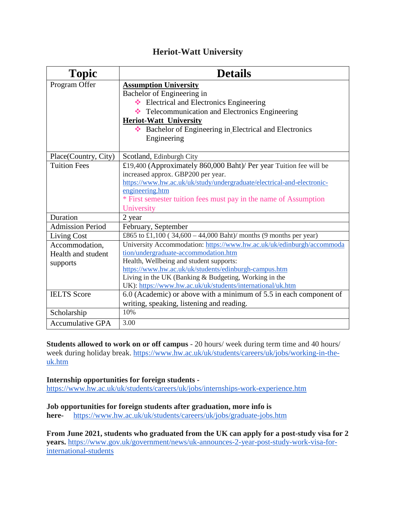#### **Heriot-Watt University**

| <b>Topic</b>            | <b>Details</b>                                                         |
|-------------------------|------------------------------------------------------------------------|
| Program Offer           | <b>Assumption University</b>                                           |
|                         | Bachelor of Engineering in                                             |
|                         | Electrical and Electronics Engineering                                 |
|                         | Telecommunication and Electronics Engineering                          |
|                         | <b>Heriot-Watt University</b>                                          |
|                         | ❖ Bachelor of Engineering in Electrical and Electronics                |
|                         | Engineering                                                            |
|                         |                                                                        |
| Place(Country, City)    | Scotland, Edinburgh City                                               |
| <b>Tuition Fees</b>     | £19,400 (Approximately 860,000 Baht)/ Per year Tuition fee will be     |
|                         | increased approx. GBP200 per year.                                     |
|                         | https://www.hw.ac.uk/uk/study/undergraduate/electrical-and-electronic- |
|                         | engineering.htm                                                        |
|                         | * First semester tuition fees must pay in the name of Assumption       |
|                         | University                                                             |
| Duration                | 2 year                                                                 |
| <b>Admission Period</b> | February, September                                                    |
| <b>Living Cost</b>      | £865 to £1,100 (34,600 - 44,000 Baht)/ months (9 months per year)      |
| Accommodation,          | University Accommodation: https://www.hw.ac.uk/uk/edinburgh/accommoda  |
| Health and student      | tion/undergraduate-accommodation.htm                                   |
| supports                | Health, Wellbeing and student supports:                                |
|                         | https://www.hw.ac.uk/uk/students/edinburgh-campus.htm                  |
|                         | Living in the UK (Banking & Budgeting, Working in the                  |
|                         | UK): https://www.hw.ac.uk/uk/students/international/uk.htm             |
| <b>IELTS</b> Score      | 6.0 (Academic) or above with a minimum of 5.5 in each component of     |
|                         | writing, speaking, listening and reading.                              |
| Scholarship             | 10%                                                                    |
| <b>Accumulative GPA</b> | 3.00                                                                   |

**Students allowed to work on or off campus** - 20 hours/ week during term time and 40 hours/ week during holiday break. [https://www.hw.ac.uk/uk/students/careers/uk/jobs/working-in-the](https://www.hw.ac.uk/uk/students/careers/uk/jobs/working-in-the-uk.htm)[uk.htm](https://www.hw.ac.uk/uk/students/careers/uk/jobs/working-in-the-uk.htm) 

#### **Internship opportunities for foreign students -**

<https://www.hw.ac.uk/uk/students/careers/uk/jobs/internships-work-experience.htm>

#### **Job opportunities for foreign students after graduation, more info is**

**here-** <https://www.hw.ac.uk/uk/students/careers/uk/jobs/graduate-jobs.htm>

**From June 2021, students who graduated from the UK can apply for a post-study visa for 2 years.** [https://www.gov.uk/government/news/uk-announces-2-year-post-study-work-visa-for](https://www.gov.uk/government/news/uk-announces-2-year-post-study-work-visa-for-international-students)[international-students](https://www.gov.uk/government/news/uk-announces-2-year-post-study-work-visa-for-international-students)